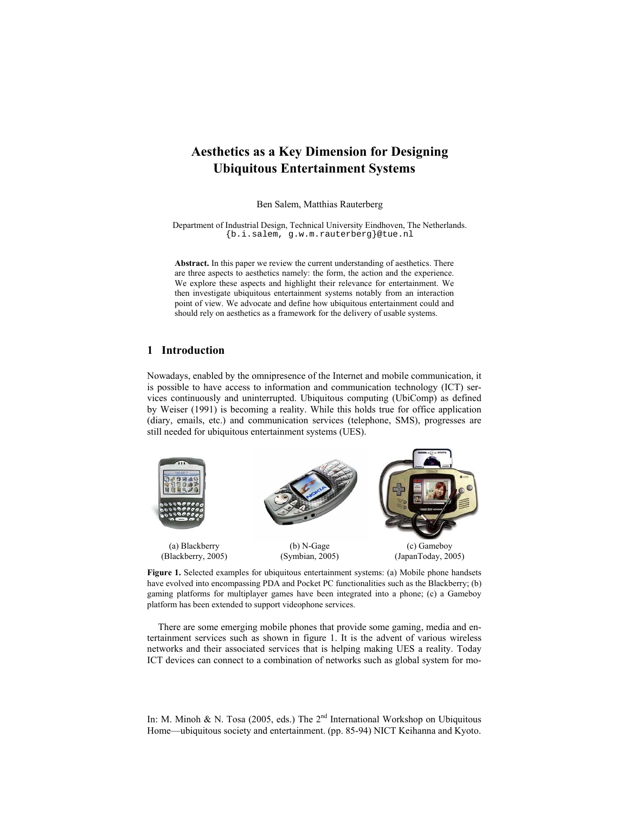# **Aesthetics as a Key Dimension for Designing Ubiquitous Entertainment Systems**

Ben Salem, Matthias Rauterberg

Department of Industrial Design, Technical University Eindhoven, The Netherlands. {b.i.salem, g.w.m.rauterberg}@tue.nl

**Abstract.** In this paper we review the current understanding of aesthetics. There are three aspects to aesthetics namely: the form, the action and the experience. We explore these aspects and highlight their relevance for entertainment. We then investigate ubiquitous entertainment systems notably from an interaction point of view. We advocate and define how ubiquitous entertainment could and should rely on aesthetics as a framework for the delivery of usable systems.

# **1 Introduction**

Nowadays, enabled by the omnipresence of the Internet and mobile communication, it is possible to have access to information and communication technology (ICT) services continuously and uninterrupted. Ubiquitous computing (UbiComp) as defined by Weiser (1991) is becoming a reality. While this holds true for office application (diary, emails, etc.) and communication services (telephone, SMS), progresses are still needed for ubiquitous entertainment systems (UES).



**Figure 1.** Selected examples for ubiquitous entertainment systems: (a) Mobile phone handsets have evolved into encompassing PDA and Pocket PC functionalities such as the Blackberry; (b) gaming platforms for multiplayer games have been integrated into a phone; (c) a Gameboy platform has been extended to support videophone services.

There are some emerging mobile phones that provide some gaming, media and entertainment services such as shown in figure 1. It is the advent of various wireless networks and their associated services that is helping making UES a reality. Today ICT devices can connect to a combination of networks such as global system for mo-

In: M. Minoh & N. Tosa (2005, eds.) The  $2<sup>nd</sup>$  International Workshop on Ubiquitous Home—ubiquitous society and entertainment. (pp. 85-94) NICT Keihanna and Kyoto.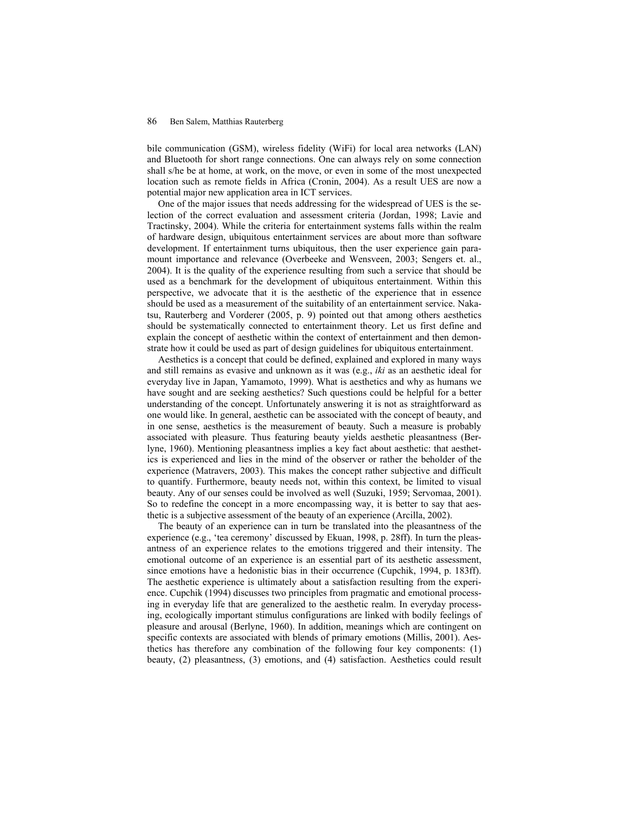bile communication (GSM), wireless fidelity (WiFi) for local area networks (LAN) and Bluetooth for short range connections. One can always rely on some connection shall s/he be at home, at work, on the move, or even in some of the most unexpected location such as remote fields in Africa (Cronin, 2004). As a result UES are now a potential major new application area in ICT services.

One of the major issues that needs addressing for the widespread of UES is the selection of the correct evaluation and assessment criteria (Jordan, 1998; Lavie and Tractinsky, 2004). While the criteria for entertainment systems falls within the realm of hardware design, ubiquitous entertainment services are about more than software development. If entertainment turns ubiquitous, then the user experience gain paramount importance and relevance (Overbeeke and Wensveen, 2003; Sengers et. al., 2004). It is the quality of the experience resulting from such a service that should be used as a benchmark for the development of ubiquitous entertainment. Within this perspective, we advocate that it is the aesthetic of the experience that in essence should be used as a measurement of the suitability of an entertainment service. Nakatsu, Rauterberg and Vorderer (2005, p. 9) pointed out that among others aesthetics should be systematically connected to entertainment theory. Let us first define and explain the concept of aesthetic within the context of entertainment and then demonstrate how it could be used as part of design guidelines for ubiquitous entertainment.

Aesthetics is a concept that could be defined, explained and explored in many ways and still remains as evasive and unknown as it was (e.g., *iki* as an aesthetic ideal for everyday live in Japan, Yamamoto, 1999). What is aesthetics and why as humans we have sought and are seeking aesthetics? Such questions could be helpful for a better understanding of the concept. Unfortunately answering it is not as straightforward as one would like. In general, aesthetic can be associated with the concept of beauty, and in one sense, aesthetics is the measurement of beauty. Such a measure is probably associated with pleasure. Thus featuring beauty yields aesthetic pleasantness (Berlyne, 1960). Mentioning pleasantness implies a key fact about aesthetic: that aesthetics is experienced and lies in the mind of the observer or rather the beholder of the experience (Matravers, 2003). This makes the concept rather subjective and difficult to quantify. Furthermore, beauty needs not, within this context, be limited to visual beauty. Any of our senses could be involved as well (Suzuki, 1959; Servomaa, 2001). So to redefine the concept in a more encompassing way, it is better to say that aesthetic is a subjective assessment of the beauty of an experience (Arcilla, 2002).

The beauty of an experience can in turn be translated into the pleasantness of the experience (e.g., 'tea ceremony' discussed by Ekuan, 1998, p. 28ff). In turn the pleasantness of an experience relates to the emotions triggered and their intensity. The emotional outcome of an experience is an essential part of its aesthetic assessment, since emotions have a hedonistic bias in their occurrence (Cupchik, 1994, p. 183ff). The aesthetic experience is ultimately about a satisfaction resulting from the experience. Cupchik (1994) discusses two principles from pragmatic and emotional processing in everyday life that are generalized to the aesthetic realm. In everyday processing, ecologically important stimulus configurations are linked with bodily feelings of pleasure and arousal (Berlyne, 1960). In addition, meanings which are contingent on specific contexts are associated with blends of primary emotions (Millis, 2001). Aesthetics has therefore any combination of the following four key components: (1) beauty, (2) pleasantness, (3) emotions, and (4) satisfaction. Aesthetics could result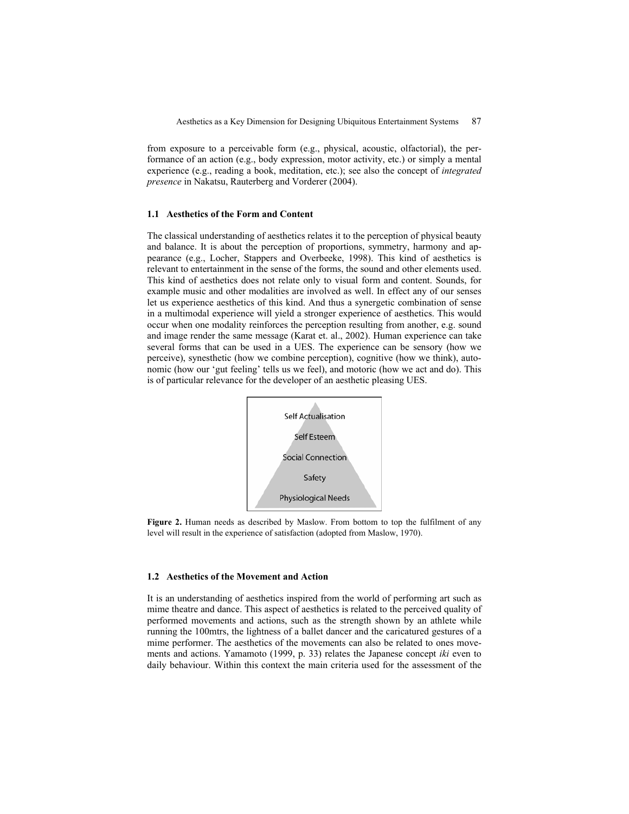from exposure to a perceivable form (e.g., physical, acoustic, olfactorial), the performance of an action (e.g., body expression, motor activity, etc.) or simply a mental experience (e.g., reading a book, meditation, etc.); see also the concept of *integrated presence* in Nakatsu, Rauterberg and Vorderer (2004).

### **1.1 Aesthetics of the Form and Content**

The classical understanding of aesthetics relates it to the perception of physical beauty and balance. It is about the perception of proportions, symmetry, harmony and appearance (e.g., Locher, Stappers and Overbeeke, 1998). This kind of aesthetics is relevant to entertainment in the sense of the forms, the sound and other elements used. This kind of aesthetics does not relate only to visual form and content. Sounds, for example music and other modalities are involved as well. In effect any of our senses let us experience aesthetics of this kind. And thus a synergetic combination of sense in a multimodal experience will yield a stronger experience of aesthetics. This would occur when one modality reinforces the perception resulting from another, e.g. sound and image render the same message (Karat et. al., 2002). Human experience can take several forms that can be used in a UES. The experience can be sensory (how we perceive), synesthetic (how we combine perception), cognitive (how we think), autonomic (how our 'gut feeling' tells us we feel), and motoric (how we act and do). This is of particular relevance for the developer of an aesthetic pleasing UES.



**Figure 2.** Human needs as described by Maslow. From bottom to top the fulfilment of any level will result in the experience of satisfaction (adopted from Maslow, 1970).

### **1.2 Aesthetics of the Movement and Action**

It is an understanding of aesthetics inspired from the world of performing art such as mime theatre and dance. This aspect of aesthetics is related to the perceived quality of performed movements and actions, such as the strength shown by an athlete while running the 100mtrs, the lightness of a ballet dancer and the caricatured gestures of a mime performer. The aesthetics of the movements can also be related to ones movements and actions. Yamamoto (1999, p. 33) relates the Japanese concept *iki* even to daily behaviour. Within this context the main criteria used for the assessment of the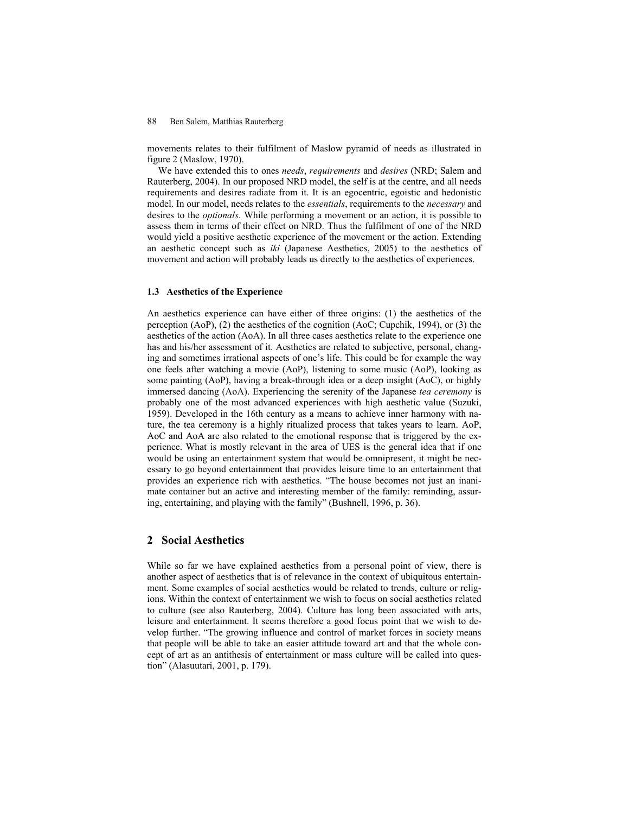movements relates to their fulfilment of Maslow pyramid of needs as illustrated in figure 2 (Maslow, 1970).

We have extended this to ones *needs*, *requirements* and *desires* (NRD; Salem and Rauterberg, 2004). In our proposed NRD model, the self is at the centre, and all needs requirements and desires radiate from it. It is an egocentric, egoistic and hedonistic model. In our model, needs relates to the *essentials*, requirements to the *necessary* and desires to the *optionals*. While performing a movement or an action, it is possible to assess them in terms of their effect on NRD. Thus the fulfilment of one of the NRD would yield a positive aesthetic experience of the movement or the action. Extending an aesthetic concept such as *iki* (Japanese Aesthetics, 2005) to the aesthetics of movement and action will probably leads us directly to the aesthetics of experiences.

#### **1.3 Aesthetics of the Experience**

An aesthetics experience can have either of three origins: (1) the aesthetics of the perception (AoP), (2) the aesthetics of the cognition (AoC; Cupchik, 1994), or (3) the aesthetics of the action (AoA). In all three cases aesthetics relate to the experience one has and his/her assessment of it. Aesthetics are related to subjective, personal, changing and sometimes irrational aspects of one's life. This could be for example the way one feels after watching a movie (AoP), listening to some music (AoP), looking as some painting (AoP), having a break-through idea or a deep insight (AoC), or highly immersed dancing (AoA). Experiencing the serenity of the Japanese *tea ceremony* is probably one of the most advanced experiences with high aesthetic value (Suzuki, 1959). Developed in the 16th century as a means to achieve inner harmony with nature, the tea ceremony is a highly ritualized process that takes years to learn. AoP, AoC and AoA are also related to the emotional response that is triggered by the experience. What is mostly relevant in the area of UES is the general idea that if one would be using an entertainment system that would be omnipresent, it might be necessary to go beyond entertainment that provides leisure time to an entertainment that provides an experience rich with aesthetics. "The house becomes not just an inanimate container but an active and interesting member of the family: reminding, assuring, entertaining, and playing with the family" (Bushnell, 1996, p. 36).

# **2 Social Aesthetics**

While so far we have explained aesthetics from a personal point of view, there is another aspect of aesthetics that is of relevance in the context of ubiquitous entertainment. Some examples of social aesthetics would be related to trends, culture or religions. Within the context of entertainment we wish to focus on social aesthetics related to culture (see also Rauterberg, 2004). Culture has long been associated with arts, leisure and entertainment. It seems therefore a good focus point that we wish to develop further. "The growing influence and control of market forces in society means that people will be able to take an easier attitude toward art and that the whole concept of art as an antithesis of entertainment or mass culture will be called into question" (Alasuutari, 2001, p. 179).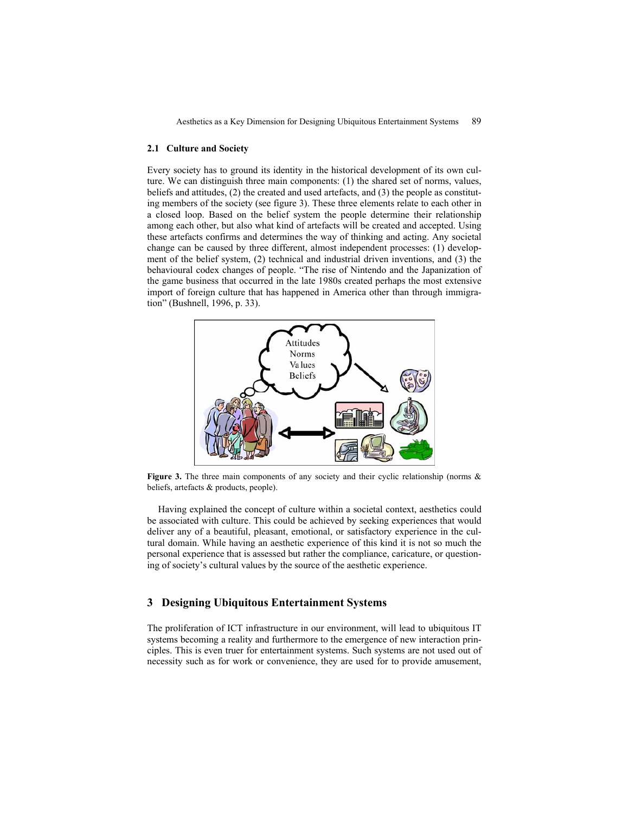Aesthetics as a Key Dimension for Designing Ubiquitous Entertainment Systems 89

### **2.1 Culture and Society**

Every society has to ground its identity in the historical development of its own culture. We can distinguish three main components: (1) the shared set of norms, values, beliefs and attitudes, (2) the created and used artefacts, and (3) the people as constituting members of the society (see figure 3). These three elements relate to each other in a closed loop. Based on the belief system the people determine their relationship among each other, but also what kind of artefacts will be created and accepted. Using these artefacts confirms and determines the way of thinking and acting. Any societal change can be caused by three different, almost independent processes: (1) development of the belief system, (2) technical and industrial driven inventions, and (3) the behavioural codex changes of people. "The rise of Nintendo and the Japanization of the game business that occurred in the late 1980s created perhaps the most extensive import of foreign culture that has happened in America other than through immigration" (Bushnell, 1996, p. 33).



**Figure 3.** The three main components of any society and their cyclic relationship (norms & beliefs, artefacts & products, people).

Having explained the concept of culture within a societal context, aesthetics could be associated with culture. This could be achieved by seeking experiences that would deliver any of a beautiful, pleasant, emotional, or satisfactory experience in the cultural domain. While having an aesthetic experience of this kind it is not so much the personal experience that is assessed but rather the compliance, caricature, or questioning of society's cultural values by the source of the aesthetic experience.

# **3 Designing Ubiquitous Entertainment Systems**

The proliferation of ICT infrastructure in our environment, will lead to ubiquitous IT systems becoming a reality and furthermore to the emergence of new interaction principles. This is even truer for entertainment systems. Such systems are not used out of necessity such as for work or convenience, they are used for to provide amusement,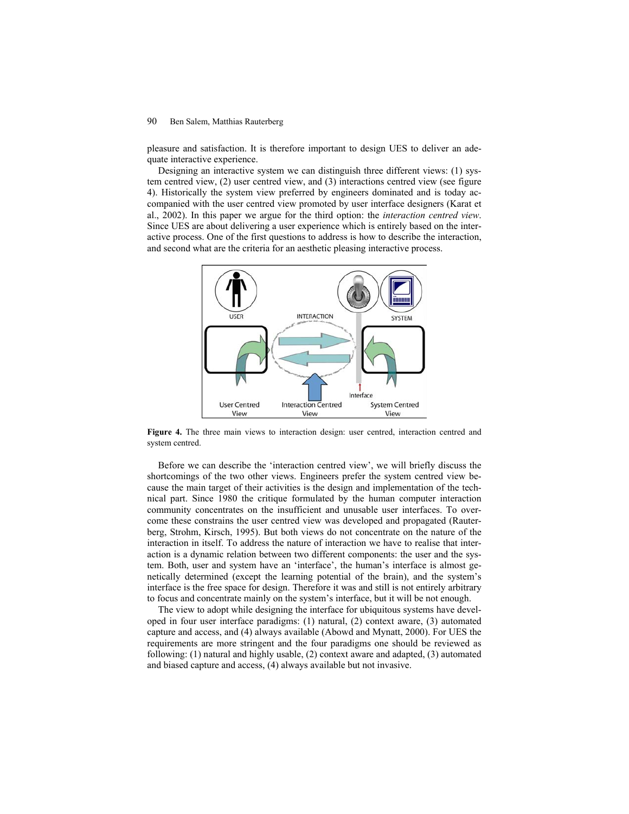pleasure and satisfaction. It is therefore important to design UES to deliver an adequate interactive experience.

Designing an interactive system we can distinguish three different views: (1) system centred view, (2) user centred view, and (3) interactions centred view (see figure 4). Historically the system view preferred by engineers dominated and is today accompanied with the user centred view promoted by user interface designers (Karat et al., 2002). In this paper we argue for the third option: the *interaction centred view*. Since UES are about delivering a user experience which is entirely based on the interactive process. One of the first questions to address is how to describe the interaction, and second what are the criteria for an aesthetic pleasing interactive process.



**Figure 4.** The three main views to interaction design: user centred, interaction centred and system centred.

Before we can describe the 'interaction centred view', we will briefly discuss the shortcomings of the two other views. Engineers prefer the system centred view because the main target of their activities is the design and implementation of the technical part. Since 1980 the critique formulated by the human computer interaction community concentrates on the insufficient and unusable user interfaces. To overcome these constrains the user centred view was developed and propagated (Rauterberg, Strohm, Kirsch, 1995). But both views do not concentrate on the nature of the interaction in itself. To address the nature of interaction we have to realise that interaction is a dynamic relation between two different components: the user and the system. Both, user and system have an 'interface', the human's interface is almost genetically determined (except the learning potential of the brain), and the system's interface is the free space for design. Therefore it was and still is not entirely arbitrary to focus and concentrate mainly on the system's interface, but it will be not enough.

The view to adopt while designing the interface for ubiquitous systems have developed in four user interface paradigms: (1) natural, (2) context aware, (3) automated capture and access, and (4) always available (Abowd and Mynatt, 2000). For UES the requirements are more stringent and the four paradigms one should be reviewed as following: (1) natural and highly usable, (2) context aware and adapted, (3) automated and biased capture and access, (4) always available but not invasive.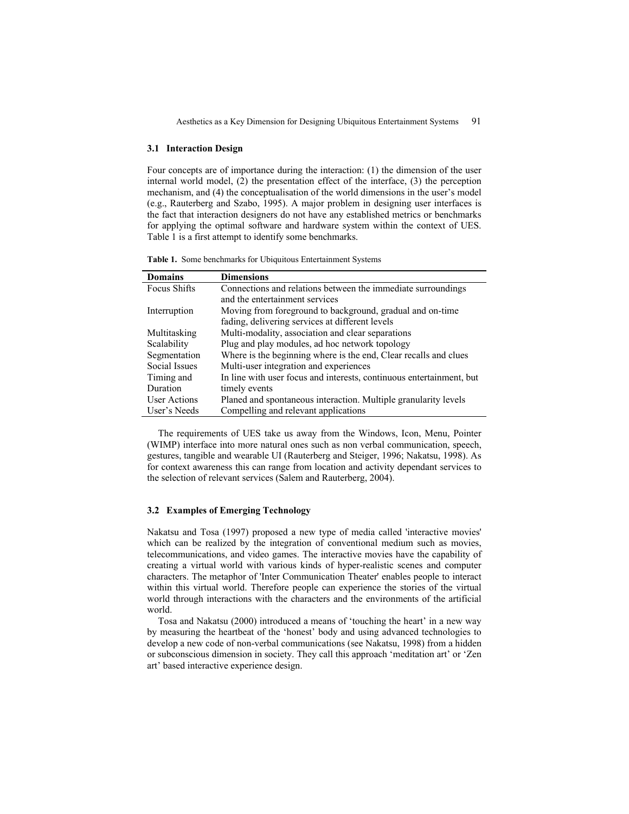### **3.1 Interaction Design**

Four concepts are of importance during the interaction: (1) the dimension of the user internal world model, (2) the presentation effect of the interface, (3) the perception mechanism, and (4) the conceptualisation of the world dimensions in the user's model (e.g., Rauterberg and Szabo, 1995). A major problem in designing user interfaces is the fact that interaction designers do not have any established metrics or benchmarks for applying the optimal software and hardware system within the context of UES. Table 1 is a first attempt to identify some benchmarks.

**Table 1.** Some benchmarks for Ubiquitous Entertainment Systems

| <b>Domains</b>      | <b>Dimensions</b>                                                    |
|---------------------|----------------------------------------------------------------------|
| Focus Shifts        | Connections and relations between the immediate surroundings         |
|                     | and the entertainment services                                       |
| Interruption        | Moving from foreground to background, gradual and on-time            |
|                     | fading, delivering services at different levels                      |
| Multitasking        | Multi-modality, association and clear separations                    |
| Scalability         | Plug and play modules, ad hoc network topology                       |
| Segmentation        | Where is the beginning where is the end, Clear recalls and clues     |
| Social Issues       | Multi-user integration and experiences                               |
| Timing and          | In line with user focus and interests, continuous entertainment, but |
| Duration            | timely events                                                        |
| <b>User Actions</b> | Planed and spontaneous interaction. Multiple granularity levels      |
| User's Needs        | Compelling and relevant applications                                 |

The requirements of UES take us away from the Windows, Icon, Menu, Pointer (WIMP) interface into more natural ones such as non verbal communication, speech, gestures, tangible and wearable UI (Rauterberg and Steiger, 1996; Nakatsu, 1998). As for context awareness this can range from location and activity dependant services to the selection of relevant services (Salem and Rauterberg, 2004).

### **3.2 Examples of Emerging Technology**

Nakatsu and Tosa (1997) proposed a new type of media called 'interactive movies' which can be realized by the integration of conventional medium such as movies, telecommunications, and video games. The interactive movies have the capability of creating a virtual world with various kinds of hyper-realistic scenes and computer characters. The metaphor of 'Inter Communication Theater' enables people to interact within this virtual world. Therefore people can experience the stories of the virtual world through interactions with the characters and the environments of the artificial world.

Tosa and Nakatsu (2000) introduced a means of 'touching the heart' in a new way by measuring the heartbeat of the 'honest' body and using advanced technologies to develop a new code of non-verbal communications (see Nakatsu, 1998) from a hidden or subconscious dimension in society. They call this approach 'meditation art' or 'Zen art' based interactive experience design.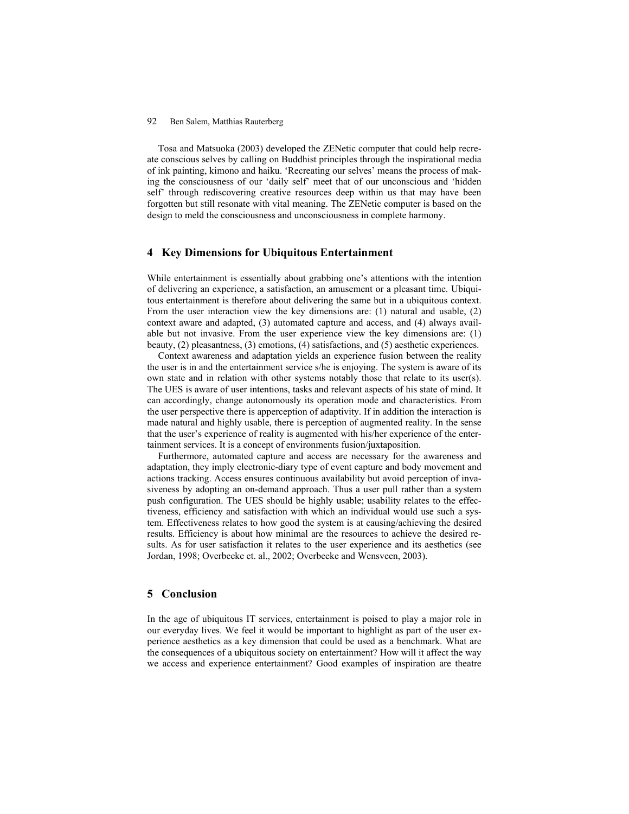Tosa and Matsuoka (2003) developed the ZENetic computer that could help recreate conscious selves by calling on Buddhist principles through the inspirational media of ink painting, kimono and haiku. 'Recreating our selves' means the process of making the consciousness of our 'daily self' meet that of our unconscious and 'hidden self' through rediscovering creative resources deep within us that may have been forgotten but still resonate with vital meaning. The ZENetic computer is based on the design to meld the consciousness and unconsciousness in complete harmony.

# **4 Key Dimensions for Ubiquitous Entertainment**

While entertainment is essentially about grabbing one's attentions with the intention of delivering an experience, a satisfaction, an amusement or a pleasant time. Ubiquitous entertainment is therefore about delivering the same but in a ubiquitous context. From the user interaction view the key dimensions are: (1) natural and usable, (2) context aware and adapted, (3) automated capture and access, and (4) always available but not invasive. From the user experience view the key dimensions are: (1) beauty, (2) pleasantness, (3) emotions, (4) satisfactions, and (5) aesthetic experiences.

Context awareness and adaptation yields an experience fusion between the reality the user is in and the entertainment service s/he is enjoying. The system is aware of its own state and in relation with other systems notably those that relate to its user(s). The UES is aware of user intentions, tasks and relevant aspects of his state of mind. It can accordingly, change autonomously its operation mode and characteristics. From the user perspective there is apperception of adaptivity. If in addition the interaction is made natural and highly usable, there is perception of augmented reality. In the sense that the user's experience of reality is augmented with his/her experience of the entertainment services. It is a concept of environments fusion/juxtaposition.

Furthermore, automated capture and access are necessary for the awareness and adaptation, they imply electronic-diary type of event capture and body movement and actions tracking. Access ensures continuous availability but avoid perception of invasiveness by adopting an on-demand approach. Thus a user pull rather than a system push configuration. The UES should be highly usable; usability relates to the effectiveness, efficiency and satisfaction with which an individual would use such a system. Effectiveness relates to how good the system is at causing/achieving the desired results. Efficiency is about how minimal are the resources to achieve the desired results. As for user satisfaction it relates to the user experience and its aesthetics (see Jordan, 1998; Overbeeke et. al., 2002; Overbeeke and Wensveen, 2003).

# **5 Conclusion**

In the age of ubiquitous IT services, entertainment is poised to play a major role in our everyday lives. We feel it would be important to highlight as part of the user experience aesthetics as a key dimension that could be used as a benchmark. What are the consequences of a ubiquitous society on entertainment? How will it affect the way we access and experience entertainment? Good examples of inspiration are theatre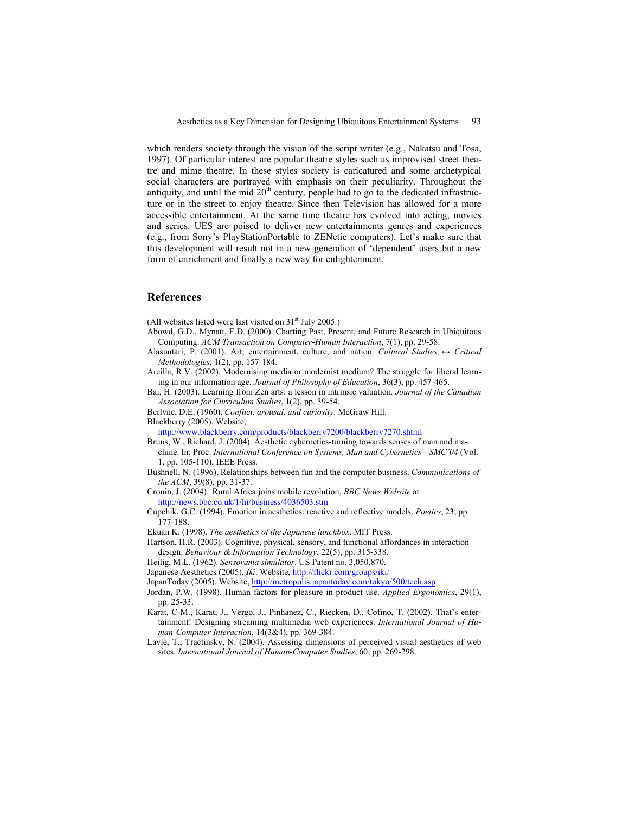which renders society through the vision of the script writer (e.g., Nakatsu and Tosa, 1997). Of particular interest are popular theatre styles such as improvised street theatre and mime theatre. In these styles society is caricatured and some archetypical social characters are portrayed with emphasis on their peculiarity. Throughout the antiquity, and until the mid  $20<sup>th</sup>$  century, people had to go to the dedicated infrastructure or in the street to enjoy theatre. Since then Television has allowed for a more accessible entertainment. At the same time theatre has evolved into acting, movies and series. UES are poised to deliver new entertainments genres and experiences (e.g., from Sony's PlayStationPortable to ZENetic computers). Let's make sure that this development will result not in a new generation of 'dependent' users but a new form of enrichment and finally a new way for enlightenment.

## **References**

(All websites listed were last visited on  $31<sup>st</sup>$  July 2005.)

- Abowd, G.D., Mynatt, E.D. (2000). Charting Past, Present, and Future Research in Ubiquitous Computing. *ACM Transaction on Computer-Human Interaction*, 7(1), pp. 29-58.
- Alasuutari, P. (2001). Art, entertainment, culture, and nation. *Cultural Studies ↔ Critical Methodologies*, 1(2), pp. 157-184.
- Arcilla, R.V. (2002). Modernising media or modernist medium? The struggle for liberal learning in our information age. *Journal of Philosophy of Education*, 36(3), pp. 457-465.
- Bai, H. (2003). Learning from Zen arts: a lesson in intrinsic valuation*. Journal of the Canadian Association for Curriculum Studies*, 1(2), pp. 39-54.
- Berlyne, D.E. (1960). *Conflict, arousal, and curiosity*. McGraw Hill. Blackberry (2005). Website,

http://www.blackberry.com/products/blackberry7200/blackberry7270.shtml

- Bruns, W., Richard, J. (2004). Aesthetic cybernetics-turning towards senses of man and machine. In: Proc. *International Conference on Systems, Man and Cybernetics—SMC'04* (Vol. 1, pp. 105-110), IEEE Press.
- Bushnell, N. (1996). Relationships between fun and the computer business. *Communications of the ACM*, 39(8), pp. 31-37.

Cronin, J. (2004). Rural Africa joins mobile revolution, *BBC News Website* at http://news.bbc.co.uk/1/hi/business/4036503.stm

- Cupchik, G.C. (1994). Emotion in aesthetics: reactive and reflective models. *Poetics*, 23, pp. 177-188.
- Ekuan K. (1998). *The aesthetics of the Japanese lunchbox*. MIT Press.
- Hartson, H.R. (2003). Cognitive, physical, sensory, and functional affordances in interaction design. *Behaviour & Information Technology*, 22(5), pp. 315-338.
- Heilig, M.L. (1962). *Sensorama simulator*. US Patent no. 3,050,870.

Japanese Aesthetics (2005). *Iki*. Website, http://flickr.com/groups/iki/

- JapanToday (2005). Website, http://metropolis.japantoday.com/tokyo/500/tech.asp
- Jordan, P.W. (1998). Human factors for pleasure in product use. *Applied Ergonomics*, 29(1), pp. 25-33.
- Karat, C-M., Karat, J., Vergo, J., Pinhanez, C., Riecken, D., Cofino, T. (2002). That's entertainment! Designing streaming multimedia web experiences. *International Journal of Human-Computer Interaction*, 14(3&4), pp. 369-384.
- Lavie, T., Tractinsky, N. (2004). Assessing dimensions of perceived visual aesthetics of web sites. *International Journal of Human-Computer Studies*, 60, pp. 269-298.